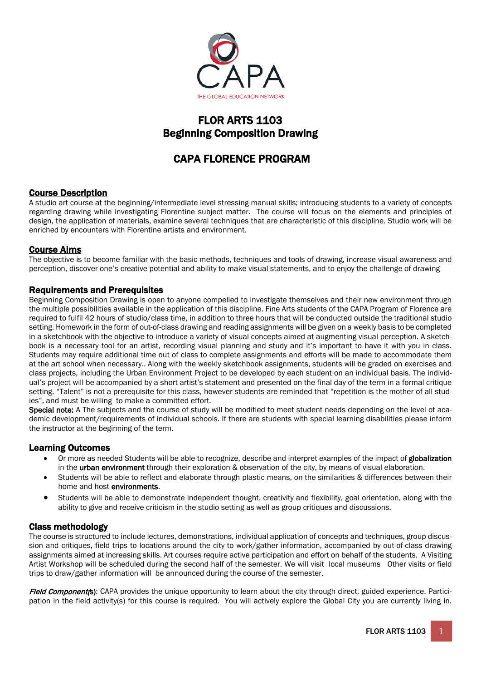

# FLOR ARTS 1103 Beginning Composition Drawing

# CAPA FLORENCE PROGRAM

# Course Description

A studio art course at the beginning/intermediate level stressing manual skills; introducing students to a variety of concepts regarding drawing while investigating Florentine subject matter. The course will focus on the elements and principles of design, the application of materials, examine several techniques that are characteristic of this discipline. Studio work will be enriched by encounters with Florentine artists and environment.

# Course Aims

The objective is to become familiar with the basic methods, techniques and tools of drawing, increase visual awareness and perception, discover one's creative potential and ability to make visual statements, and to enjoy the challenge of drawing

# Requirements and Prerequisites

Beginning Composition Drawing is open to anyone compelled to investigate themselves and their new environment through the multiple possibilities available in the application of this discipline. Fine Arts students of the CAPA Program of Florence are required to fulfil 42 hours of studio/class time, in addition to three hours that will be conducted outside the traditional studio setting. Homework in the form of out-of-class drawing and reading assignments will be given on a weekly basis to be completed in a sketchbook with the objective to introduce a variety of visual concepts aimed at augmenting visual perception. A sketchbook is a necessary tool for an artist, recording visual planning and study and it's important to have it with you in class. Students may require additional time out of class to complete assignments and efforts will be made to accommodate them at the art school when necessary.. Along with the weekly sketchbook assignments, students will be graded on exercises and class projects, including the Urban Environment Project to be developed by each student on an individual basis. The individual's project will be accompanied by a short artist's statement and presented on the final day of the term in a formal critique setting. "Talent" is not a prerequisite for this class, however students are reminded that "repetition is the mother of all studies", and must be willing to make a committed effort.

Special note: A The subjects and the course of study will be modified to meet student needs depending on the level of academic development/requirements of individual schools. If there are students with special learning disabilities please inform the instructor at the beginning of the term.

# Learning Outcomes

- Or more as needed Students will be able to recognize, describe and interpret examples of the impact of globalization in the urban environment through their exploration & observation of the city, by means of visual elaboration.
- Students will be able to reflect and elaborate through plastic means, on the similarities & differences between their home and host environments.
- Students will be able to demonstrate independent thought, creativity and flexibility, goal orientation, along with the ability to give and receive criticism in the studio setting as well as group critiques and discussions.

# Class methodology

The course is structured to include lectures, demonstrations, individual application of concepts and techniques, group discussion and critiques, field trips to locations around the city to work/gather information, accompanied by out-of-class drawing assignments aimed at increasing skills. Art courses require active participation and effort on behalf of the students. A Visiting Artist Workshop will be scheduled during the second half of the semester. We will visit local museums Other visits or field trips to draw/gather information will be announced during the course of the semester.

Field Component(s): CAPA provides the unique opportunity to learn about the city through direct, guided experience. Participation in the field activity(s) for this course is required. You will actively explore the Global City you are currently living in.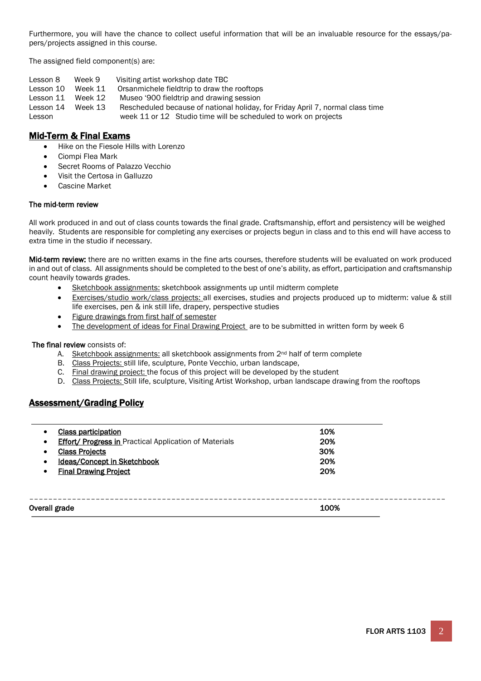Furthermore, you will have the chance to collect useful information that will be an invaluable resource for the essays/papers/projects assigned in this course.

The assigned field component(s) are:

| Lesson 8  | Week 9  | Visiting artist workshop date TBC                                              |  |  |  |
|-----------|---------|--------------------------------------------------------------------------------|--|--|--|
| Lesson 10 | Week 11 | Orsanmichele fieldtrip to draw the rooftops                                    |  |  |  |
| Lesson 11 | Week 12 | Museo '900 fieldtrip and drawing session                                       |  |  |  |
| Lesson 14 | Week 13 | Rescheduled because of national holiday, for Friday April 7, normal class time |  |  |  |
| Lesson    |         | week 11 or 12 Studio time will be scheduled to work on projects                |  |  |  |

# Mid-Term & Final Exams

- Hike on the Fiesole Hills with Lorenzo
- Ciompi Flea Mark
- Secret Rooms of Palazzo Vecchio
- Visit the Certosa in Galluzzo
- Cascine Market

# The mid-term review

All work produced in and out of class counts towards the final grade. Craftsmanship, effort and persistency will be weighed heavily. Students are responsible for completing any exercises or projects begun in class and to this end will have access to extra time in the studio if necessary.

Mid-term review: there are no written exams in the fine arts courses, therefore students will be evaluated on work produced in and out of class. All assignments should be completed to the best of one's ability, as effort, participation and craftsmanship count heavily towards grades.

- Sketchbook assignments: sketchbook assignments up until midterm complete
- Exercises/studio work/class projects: all exercises, studies and projects produced up to midterm: value & still life exercises, pen & ink still life, drapery, perspective studies
- Figure drawings from first half of semester
- The development of ideas for Final Drawing Project are to be submitted in written form by week 6

# The final review consists of:

- A. Sketchbook assignments: all sketchbook assignments from  $2<sup>nd</sup>$  half of term complete
- B. Class Projects: still life, sculpture, Ponte Vecchio, urban landscape,
- C. Final drawing project: the focus of this project will be developed by the student
- D. Class Projects: Still life, sculpture, Visiting Artist Workshop, urban landscape drawing from the rooftops

# Assessment/Grading Policy

| Class participation                                           | 10% |
|---------------------------------------------------------------|-----|
| <b>Effort/ Progress in Practical Application of Materials</b> | 20% |
| <b>Class Projects</b>                                         | 30% |
| Ideas/Concept in Sketchbook                                   | 20% |
| <b>Final Drawing Project</b>                                  | 20% |

| Overall grade | 100% |
|---------------|------|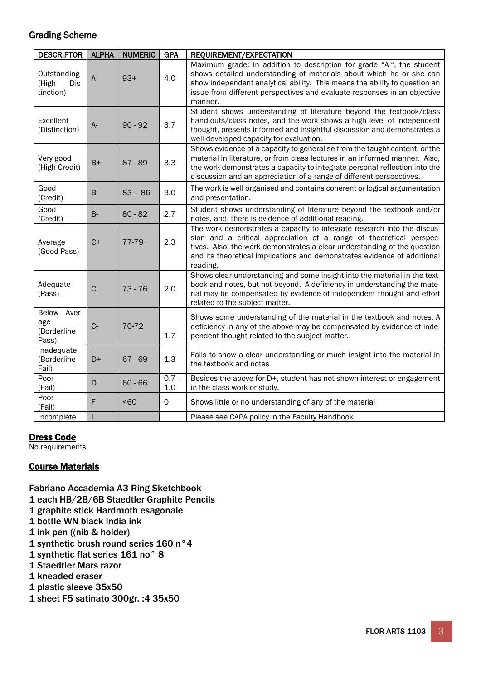# Grading Scheme

| <b>DESCRIPTOR</b>                             | <b>ALPHA</b> | <b>NUMERIC</b> | <b>GPA</b>     | REQUIREMENT/EXPECTATION                                                                                                                                                                                                                                                                                            |  |
|-----------------------------------------------|--------------|----------------|----------------|--------------------------------------------------------------------------------------------------------------------------------------------------------------------------------------------------------------------------------------------------------------------------------------------------------------------|--|
| Outstanding<br>Dis-<br>(High<br>tinction)     | A            | $93+$          | 4.0            | Maximum grade: In addition to description for grade "A-", the student<br>shows detailed understanding of materials about which he or she can<br>show independent analytical ability. This means the ability to question an<br>issue from different perspectives and evaluate responses in an objective<br>manner.  |  |
| Excellent<br>(Distinction)                    | $A-$         | $90 - 92$      | 3.7            | Student shows understanding of literature beyond the textbook/class<br>hand-outs/class notes, and the work shows a high level of independent<br>thought, presents informed and insightful discussion and demonstrates a<br>well-developed capacity for evaluation.                                                 |  |
| Very good<br>(High Credit)                    | $B+$         | $87 - 89$      | 3.3            | Shows evidence of a capacity to generalise from the taught content, or the<br>material in literature, or from class lectures in an informed manner. Also,<br>the work demonstrates a capacity to integrate personal reflection into the<br>discussion and an appreciation of a range of different perspectives.    |  |
| Good<br>(Credit)                              | B            | $83 - 86$      | 3.0            | The work is well organised and contains coherent or logical argumentation<br>and presentation.                                                                                                                                                                                                                     |  |
| Good<br>(Credit)                              | $B -$        | $80 - 82$      | 2.7            | Student shows understanding of literature beyond the textbook and/or<br>notes, and, there is evidence of additional reading.                                                                                                                                                                                       |  |
| Average<br>(Good Pass)                        | $C+$         | 77-79          | 2.3            | The work demonstrates a capacity to integrate research into the discus-<br>sion and a critical appreciation of a range of theoretical perspec-<br>tives. Also, the work demonstrates a clear understanding of the question<br>and its theoretical implications and demonstrates evidence of additional<br>reading. |  |
| Adequate<br>(Pass)                            | $\mathsf C$  | $73 - 76$      | 2.0            | Shows clear understanding and some insight into the material in the text-<br>book and notes, but not beyond. A deficiency in understanding the mate-<br>rial may be compensated by evidence of independent thought and effort<br>related to the subject matter.                                                    |  |
| Aver-<br>Below<br>age<br>(Borderline<br>Pass) | $C -$        | 70-72          | 1.7            | Shows some understanding of the material in the textbook and notes. A<br>deficiency in any of the above may be compensated by evidence of inde-<br>pendent thought related to the subject matter.                                                                                                                  |  |
| Inadequate<br>(Borderline<br>Fail)            | D+           | $67 - 69$      | 1.3            | Fails to show a clear understanding or much insight into the material in<br>the textbook and notes                                                                                                                                                                                                                 |  |
| Poor<br>(Fail)                                | D            | $60 - 66$      | $0.7 -$<br>1.0 | Besides the above for D+, student has not shown interest or engagement<br>in the class work or study.                                                                                                                                                                                                              |  |
| Poor<br>(Fail)                                | F            | <60            | 0              | Shows little or no understanding of any of the material                                                                                                                                                                                                                                                            |  |
| Incomplete                                    |              |                |                | Please see CAPA policy in the Faculty Handbook.                                                                                                                                                                                                                                                                    |  |

# Dress Code

No requirements

# Course Materials

Fabriano Accademia A3 Ring Sketchbook

1 each HB/2B/6B Staedtler Graphite Pencils

- 1 graphite stick Hardmoth esagonale
- 1 bottle WN black India ink
- 1 ink pen ((nib & holder)
- 1 synthetic brush round series 160 n°4
- 1 synthetic flat series 161 no° 8
- 1 Staedtler Mars razor
- 1 kneaded eraser
- 1 plastic sleeve 35x50
- 1 sheet F5 satinato 300gr. :4 35x50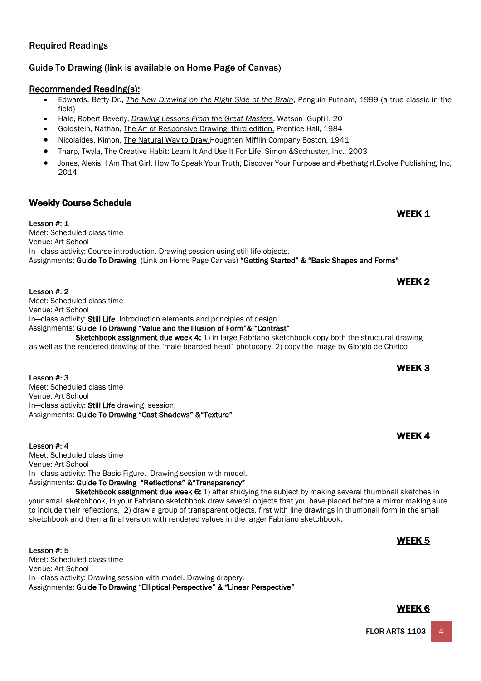# Required Readings

# Guide To Drawing (link is available on Home Page of Canvas)

# Recommended Reading(s):

- Edwards, Betty Dr., *The New Drawing on the Right Side of the Brain*, Penguin Putnam, 1999 (a true classic in the field)
- Hale, Robert Beverly, *Drawing Lessons From the Great Masters*, Watson- Guptill, 20
- Goldstein, Nathan, The Art of Responsive Drawing, third edition, Prentice-Hall, 1984
- Nicolaides, Kimon, The Natural Way to Draw,Houghten Mifflin Company Boston, 1941
- Tharp, Twyla, The Creative Habit: Learn It And Use It For Life, Simon &Scchuster, Inc., 2003
- Jones, Alexis, I Am That Girl. How To Speak Your Truth, Discover Your Purpose and #bethatgirl, Evolve Publishing, Inc, 2014

# Weekly Course Schedule

Meet: Scheduled class time Venue: Art School In—class activity: Course introduction. Drawing session using still life objects. Assignments: Guide To Drawing (Link on Home Page Canvas) "Getting Started" & "Basic Shapes and Forms"

Lesson #: 2 **WEEK 2** Lesson #: 2 Meet: Scheduled class time Venue: Art School In-class activity: Still Life Introduction elements and principles of design. Assignments: Guide To Drawing "Value and the Illusion of Form"& "Contrast"

Sketchbook assignment due week 4: 1) in large Fabriano sketchbook copy both the structural drawing as well as the rendered drawing of the "male bearded head" photocopy, 2) copy the image by Giorgio de Chirico

WEEK 3 Lesson #: 3 Meet: Scheduled class time Venue: Art School In—class activity: Still Life drawing session. Assignments: Guide To Drawing "Cast Shadows" &"Texture"

Lesson #: 4 **WEEK 4** Lesson #: 4 Meet: Scheduled class time Venue: Art School In—class activity: The Basic Figure. Drawing session with model. Assignments: Guide To Drawing "Reflections" & "Transparency"

Sketchbook assignment due week 6: 1) after studying the subject by making several thumbnail sketches in your small sketchbook, in your Fabriano sketchbook draw several objects that you have placed before a mirror making sure to include their reflections, 2) draw a group of transparent objects, first with line drawings in thumbnail form in the small sketchbook and then a final version with rendered values in the larger Fabriano sketchbook.

WEEK 5 Lesson #: 5 Meet: Scheduled class time Venue: Art School In—class activity: Drawing session with model. Drawing drapery. Assignments: Guide To Drawing "Elliptical Perspective" & "Linear Perspective"

# WEEK 6

# Lesson #: 1  $\sqrt{A}$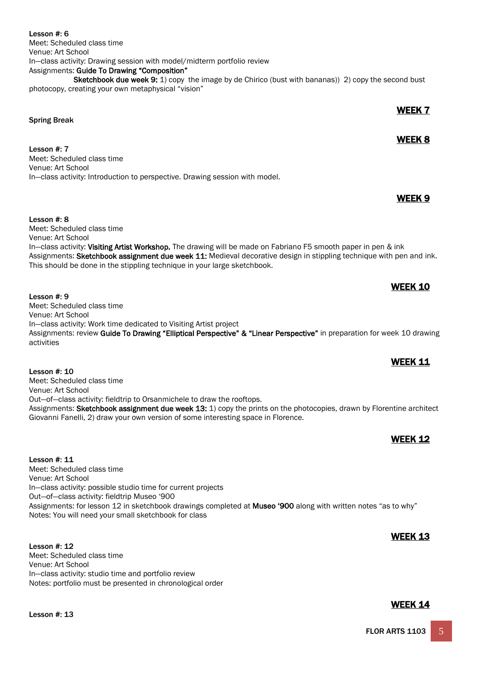activities WEEK 11 Lesson #: 10

Meet: Scheduled class time Venue: Art School Out—of—class activity: fieldtrip to Orsanmichele to draw the rooftops. Assignments: Sketchbook assignment due week 13: 1) copy the prints on the photocopies, drawn by Florentine architect Giovanni Fanelli, 2) draw your own version of some interesting space in Florence.

 Lesson #: 11 Meet: Scheduled class time Venue: Art School In—class activity: possible studio time for current projects Out—of—class activity: fieldtrip Museo '900 Assignments: for lesson 12 in sketchbook drawings completed at Museo '900 along with written notes "as to why" Notes: You will need your small sketchbook for class

Lesson #: 12 **WEEK 13** Meet: Scheduled class time Notes: portfolio must be presented in chronological order

Venue: Art School In—class activity: studio time and portfolio review

WEEK 14 Lesson #: 13

WEEK 8 Lesson #: 7 Meet: Scheduled class time Venue: Art School In—class activity: Introduction to perspective. Drawing session with model.

Lesson #: 8 Meet: Scheduled class time Venue: Art School

In-class activity: Visiting Artist Workshop. The drawing will be made on Fabriano F5 smooth paper in pen & ink Assignments: Sketchbook assignment due week 11: Medieval decorative design in stippling technique with pen and ink. This should be done in the stippling technique in your large sketchbook.

# WEEK 10 Lesson #: 9 Meet: Scheduled class time Venue: Art School In—class activity: Work time dedicated to Visiting Artist project Assignments: review Guide To Drawing "Elliptical Perspective" & "Linear Perspective" in preparation for week 10 drawing

photocopy, creating your own metaphysical "vision"

Meet: Scheduled class time Venue: Art School In—class activity: Drawing session with model/midterm portfolio review Assignments: Guide To Drawing "Composition" Sketchbook due week 9: 1) copy the image by de Chirico (bust with bananas)) 2) copy the second bust

# Lesson #: 6

Spring Break **WEEK 7** 

# WEEK 12

WEEK 9